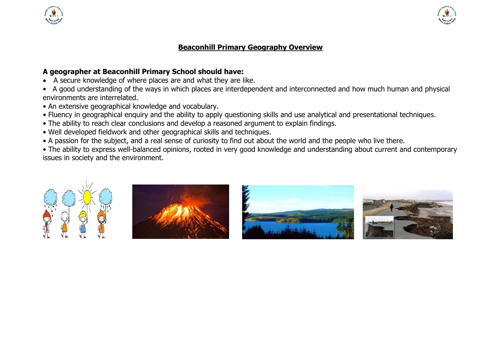

## **Beaconhill Primary Geography Overview**

## **A geographer at Beaconhill Primary School should have:**

- A secure knowledge of where places are and what they are like.
- A good understanding of the ways in which places are interdependent and interconnected and how much human and physical environments are interrelated.
- An extensive geographical knowledge and vocabulary.
- Fluency in geographical enquiry and the ability to apply questioning skills and use analytical and presentational techniques.
- The ability to reach clear conclusions and develop a reasoned argument to explain findings.
- Well developed fieldwork and other geographical skills and techniques.
- A passion for the subject, and a real sense of curiosity to find out about the world and the people who live there.

• The ability to express well-balanced opinions, rooted in very good knowledge and understanding about current and contemporary issues in society and the environment.









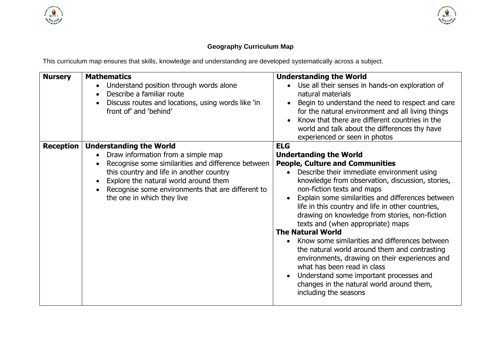**THE REAL PROPERTY AND** 



## **Geography Curriculum Map**

This curriculum map ensures that skills, knowledge and understanding are developed systematically across a subject.

| <b>Nursery</b>   | <b>Mathematics</b><br>Understand position through words alone<br>$\bullet$<br>Describe a familiar route<br>$\bullet$<br>Discuss routes and locations, using words like 'in<br>front of' and 'behind'                                                                                                                         | <b>Understanding the World</b><br>Use all their senses in hands-on exploration of<br>natural materials<br>Begin to understand the need to respect and care<br>for the natural environment and all living things<br>Know that there are different countries in the<br>world and talk about the differences thy have<br>experienced or seen in photos                                                                                                                                                                                                                                                                                                                                                                                                     |
|------------------|------------------------------------------------------------------------------------------------------------------------------------------------------------------------------------------------------------------------------------------------------------------------------------------------------------------------------|---------------------------------------------------------------------------------------------------------------------------------------------------------------------------------------------------------------------------------------------------------------------------------------------------------------------------------------------------------------------------------------------------------------------------------------------------------------------------------------------------------------------------------------------------------------------------------------------------------------------------------------------------------------------------------------------------------------------------------------------------------|
| <b>Reception</b> | <b>Understanding the World</b><br>Draw information from a simple map<br>$\bullet$<br>Recognise some similarities and difference between<br>$\bullet$<br>this country and life in another country<br>Explore the natural world around them<br>Recognise some environments that are different to<br>the one in which they live | <b>ELG</b><br><b>Undertanding the World</b><br><b>People, Culture and Communities</b><br>Describe their immediate environment using<br>knowledge from observation, discussion, stories,<br>non-fiction texts and maps<br>Explain some similarities and differences between<br>life in this country and life in other countries,<br>drawing on knowledge from stories, non-fiction<br>texts and (when appropriate) maps<br><b>The Natural World</b><br>Know some similarities and differences between<br>the natural world around them and contrasting<br>environments, drawing on their experiences and<br>what has been read in class<br>Understand some important processes and<br>changes in the natural world around them,<br>including the seasons |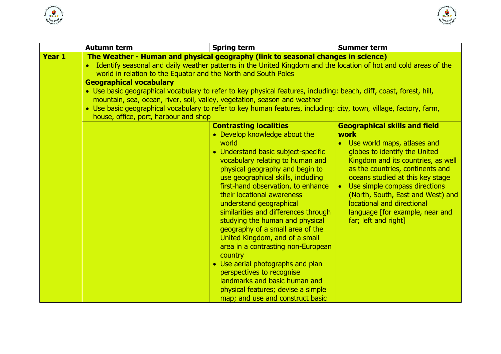



|               | <b>Autumn term</b>                                                                                                   | <b>Spring term</b>                                                                                                 | <b>Summer term</b>                   |  |  |  |
|---------------|----------------------------------------------------------------------------------------------------------------------|--------------------------------------------------------------------------------------------------------------------|--------------------------------------|--|--|--|
| <b>Year 1</b> |                                                                                                                      | The Weather - Human and physical geography (link to seasonal changes in science)                                   |                                      |  |  |  |
|               |                                                                                                                      | Identify seasonal and daily weather patterns in the United Kingdom and the location of hot and cold areas of the   |                                      |  |  |  |
|               | world in relation to the Equator and the North and South Poles                                                       |                                                                                                                    |                                      |  |  |  |
|               | <b>Geographical vocabulary</b>                                                                                       |                                                                                                                    |                                      |  |  |  |
|               | • Use basic geographical vocabulary to refer to key physical features, including: beach, cliff, coast, forest, hill, |                                                                                                                    |                                      |  |  |  |
|               | mountain, sea, ocean, river, soil, valley, vegetation, season and weather                                            |                                                                                                                    |                                      |  |  |  |
|               |                                                                                                                      | • Use basic geographical vocabulary to refer to key human features, including: city, town, village, factory, farm, |                                      |  |  |  |
|               | house, office, port, harbour and shop                                                                                |                                                                                                                    |                                      |  |  |  |
|               |                                                                                                                      | <b>Contrasting localities</b>                                                                                      | <b>Geographical skills and field</b> |  |  |  |
|               |                                                                                                                      | • Develop knowledge about the                                                                                      | work                                 |  |  |  |
|               |                                                                                                                      | world                                                                                                              | • Use world maps, atlases and        |  |  |  |
|               |                                                                                                                      | • Understand basic subject-specific                                                                                | globes to identify the United        |  |  |  |
|               |                                                                                                                      | vocabulary relating to human and                                                                                   | Kingdom and its countries, as well   |  |  |  |
|               |                                                                                                                      | physical geography and begin to                                                                                    | as the countries, continents and     |  |  |  |
|               |                                                                                                                      | use geographical skills, including                                                                                 | oceans studied at this key stage     |  |  |  |
|               |                                                                                                                      | first-hand observation, to enhance                                                                                 | Use simple compass directions        |  |  |  |
|               |                                                                                                                      | their locational awareness                                                                                         | (North, South, East and West) and    |  |  |  |
|               |                                                                                                                      | understand geographical                                                                                            | locational and directional           |  |  |  |
|               |                                                                                                                      | similarities and differences through                                                                               | language [for example, near and      |  |  |  |
|               |                                                                                                                      | studying the human and physical                                                                                    | far; left and right]                 |  |  |  |
|               |                                                                                                                      | geography of a small area of the                                                                                   |                                      |  |  |  |
|               |                                                                                                                      | United Kingdom, and of a small                                                                                     |                                      |  |  |  |
|               |                                                                                                                      | area in a contrasting non-European                                                                                 |                                      |  |  |  |
|               |                                                                                                                      | country                                                                                                            |                                      |  |  |  |
|               |                                                                                                                      | • Use aerial photographs and plan                                                                                  |                                      |  |  |  |
|               |                                                                                                                      | perspectives to recognise                                                                                          |                                      |  |  |  |
|               |                                                                                                                      | landmarks and basic human and                                                                                      |                                      |  |  |  |
|               |                                                                                                                      | physical features; devise a simple                                                                                 |                                      |  |  |  |
|               |                                                                                                                      | map; and use and construct basic                                                                                   |                                      |  |  |  |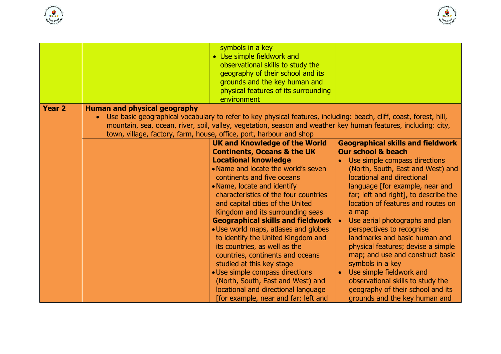



| <b>Year 2</b> | <b>Human and physical geography</b> | symbols in a key<br>• Use simple fieldwork and<br>observational skills to study the<br>geography of their school and its<br>grounds and the key human and<br>physical features of its surrounding<br>environment |                                                                           |
|---------------|-------------------------------------|------------------------------------------------------------------------------------------------------------------------------------------------------------------------------------------------------------------|---------------------------------------------------------------------------|
|               |                                     | • Use basic geographical vocabulary to refer to key physical features, including: beach, cliff, coast, forest, hill,                                                                                             |                                                                           |
|               |                                     | mountain, sea, ocean, river, soil, valley, vegetation, season and weather key human features, including: city,                                                                                                   |                                                                           |
|               |                                     | town, village, factory, farm, house, office, port, harbour and shop                                                                                                                                              |                                                                           |
|               |                                     | <b>UK and Knowledge of the World</b>                                                                                                                                                                             | <b>Geographical skills and fieldwork</b><br><b>Our school &amp; beach</b> |
|               |                                     | <b>Continents, Oceans &amp; the UK</b><br><b>Locational knowledge</b>                                                                                                                                            | Use simple compass directions                                             |
|               |                                     | • Name and locate the world's seven                                                                                                                                                                              | (North, South, East and West) and                                         |
|               |                                     | continents and five oceans                                                                                                                                                                                       | locational and directional                                                |
|               |                                     | • Name, locate and identify                                                                                                                                                                                      | language [for example, near and                                           |
|               |                                     | characteristics of the four countries                                                                                                                                                                            | far; left and right], to describe the                                     |
|               |                                     | and capital cities of the United<br>Kingdom and its surrounding seas                                                                                                                                             | location of features and routes on<br>a map                               |
|               |                                     | <b>Geographical skills and fieldwork</b>                                                                                                                                                                         | Use aerial photographs and plan                                           |
|               |                                     | • Use world maps, atlases and globes                                                                                                                                                                             | perspectives to recognise                                                 |
|               |                                     | to identify the United Kingdom and                                                                                                                                                                               | landmarks and basic human and                                             |
|               |                                     | its countries, as well as the                                                                                                                                                                                    | physical features; devise a simple                                        |
|               |                                     | countries, continents and oceans                                                                                                                                                                                 | map; and use and construct basic                                          |
|               |                                     | studied at this key stage<br>• Use simple compass directions                                                                                                                                                     | symbols in a key<br>• Use simple fieldwork and                            |
|               |                                     | (North, South, East and West) and                                                                                                                                                                                | observational skills to study the                                         |
|               |                                     | locational and directional language                                                                                                                                                                              | geography of their school and its                                         |
|               |                                     | [for example, near and far; left and                                                                                                                                                                             | grounds and the key human and                                             |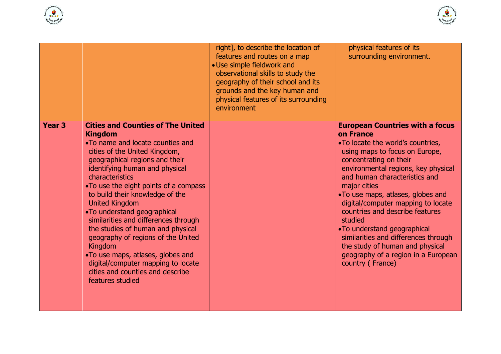



|               |                                                                                                                                                                                                                                                                                                                                                                                                                                                                                                                                                                                                                                     | right], to describe the location of<br>features and routes on a map<br>• Use simple fieldwork and<br>observational skills to study the<br>geography of their school and its<br>grounds and the key human and<br>physical features of its surrounding<br>environment | physical features of its<br>surrounding environment.                                                                                                                                                                                                                                                                                                                                                                                                                                                                                        |
|---------------|-------------------------------------------------------------------------------------------------------------------------------------------------------------------------------------------------------------------------------------------------------------------------------------------------------------------------------------------------------------------------------------------------------------------------------------------------------------------------------------------------------------------------------------------------------------------------------------------------------------------------------------|---------------------------------------------------------------------------------------------------------------------------------------------------------------------------------------------------------------------------------------------------------------------|---------------------------------------------------------------------------------------------------------------------------------------------------------------------------------------------------------------------------------------------------------------------------------------------------------------------------------------------------------------------------------------------------------------------------------------------------------------------------------------------------------------------------------------------|
| <b>Year 3</b> | <b>Cities and Counties of The United</b><br><b>Kingdom</b><br>. To name and locate counties and<br>cities of the United Kingdom,<br>geographical regions and their<br>identifying human and physical<br>characteristics<br>•To use the eight points of a compass<br>to build their knowledge of the<br><b>United Kingdom</b><br>•To understand geographical<br>similarities and differences through<br>the studies of human and physical<br>geography of regions of the United<br><b>Kingdom</b><br>.To use maps, atlases, globes and<br>digital/computer mapping to locate<br>cities and counties and describe<br>features studied |                                                                                                                                                                                                                                                                     | <b>European Countries with a focus</b><br>on France<br>•To locate the world's countries,<br>using maps to focus on Europe,<br>concentrating on their<br>environmental regions, key physical<br>and human characteristics and<br>major cities<br>. To use maps, atlases, globes and<br>digital/computer mapping to locate<br>countries and describe features<br>studied<br>•To understand geographical<br>similarities and differences through<br>the study of human and physical<br>geography of a region in a European<br>country (France) |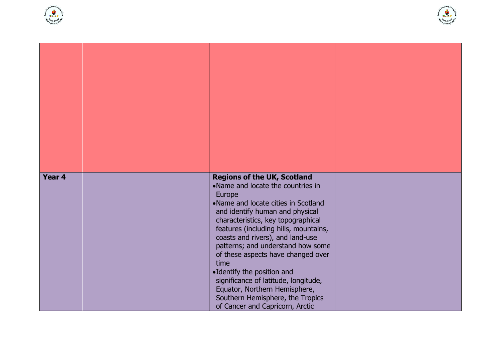



| Year 4 | <b>Regions of the UK, Scotland</b><br>•Name and locate the countries in<br>Europe<br>•Name and locate cities in Scotland<br>and identify human and physical<br>characteristics, key topographical<br>features (including hills, mountains,<br>coasts and rivers), and land-use<br>patterns; and understand how some<br>of these aspects have changed over<br>time<br>•Identify the position and<br>significance of latitude, longitude,<br>Equator, Northern Hemisphere,<br>Southern Hemisphere, the Tropics<br>of Cancer and Capricorn, Arctic |  |
|--------|-------------------------------------------------------------------------------------------------------------------------------------------------------------------------------------------------------------------------------------------------------------------------------------------------------------------------------------------------------------------------------------------------------------------------------------------------------------------------------------------------------------------------------------------------|--|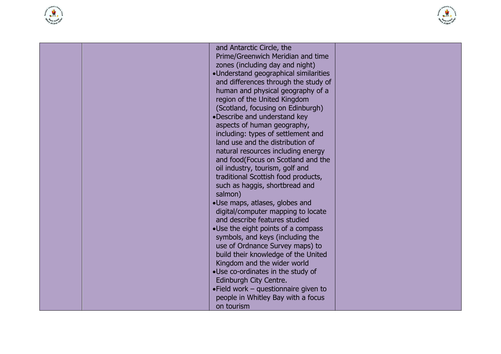



| and Antarctic Circle, the<br>Prime/Greenwich Meridian and time<br>zones (including day and night)<br>·Understand geographical similarities<br>and differences through the study of<br>human and physical geography of a<br>region of the United Kingdom<br>(Scotland, focusing on Edinburgh)<br>•Describe and understand key<br>aspects of human geography,<br>including: types of settlement and<br>land use and the distribution of<br>natural resources including energy<br>and food(Focus on Scotland and the<br>oil industry, tourism, golf and<br>traditional Scottish food products,<br>such as haggis, shortbread and<br>salmon)<br>•Use maps, atlases, globes and<br>digital/computer mapping to locate<br>and describe features studied<br>•Use the eight points of a compass<br>symbols, and keys (including the<br>use of Ordnance Survey maps) to<br>build their knowledge of the United<br>Kingdom and the wider world<br>•Use co-ordinates in the study of<br>Edinburgh City Centre.<br>•Field work - questionnaire given to |  |
|---------------------------------------------------------------------------------------------------------------------------------------------------------------------------------------------------------------------------------------------------------------------------------------------------------------------------------------------------------------------------------------------------------------------------------------------------------------------------------------------------------------------------------------------------------------------------------------------------------------------------------------------------------------------------------------------------------------------------------------------------------------------------------------------------------------------------------------------------------------------------------------------------------------------------------------------------------------------------------------------------------------------------------------------|--|
| people in Whitley Bay with a focus<br>on tourism                                                                                                                                                                                                                                                                                                                                                                                                                                                                                                                                                                                                                                                                                                                                                                                                                                                                                                                                                                                            |  |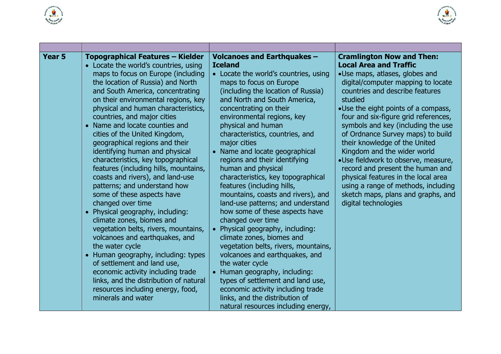



| <b>Year 5</b> | <b>Topographical Features - Kielder</b><br>• Locate the world's countries, using<br>maps to focus on Europe (including<br>the location of Russia) and North<br>and South America, concentrating<br>on their environmental regions, key<br>physical and human characteristics,<br>countries, and major cities<br>• Name and locate counties and<br>cities of the United Kingdom,<br>geographical regions and their<br>identifying human and physical<br>characteristics, key topographical<br>features (including hills, mountains,<br>coasts and rivers), and land-use<br>patterns; and understand how<br>some of these aspects have<br>changed over time<br>• Physical geography, including:<br>climate zones, biomes and<br>vegetation belts, rivers, mountains,<br>volcanoes and earthquakes, and<br>the water cycle<br>• Human geography, including: types<br>of settlement and land use,<br>economic activity including trade<br>links, and the distribution of natural<br>resources including energy, food,<br>minerals and water | <b>Volcanoes and Earthquakes -</b><br><b>Iceland</b><br>• Locate the world's countries, using<br>maps to focus on Europe<br>(including the location of Russia)<br>and North and South America,<br>concentrating on their<br>environmental regions, key<br>physical and human<br>characteristics, countries, and<br>major cities<br>• Name and locate geographical<br>regions and their identifying<br>human and physical<br>characteristics, key topographical<br>features (including hills,<br>mountains, coasts and rivers), and<br>land-use patterns; and understand<br>how some of these aspects have<br>changed over time<br>Physical geography, including:<br>climate zones, biomes and<br>vegetation belts, rivers, mountains,<br>volcanoes and earthquakes, and<br>the water cycle<br>Human geography, including:<br>types of settlement and land use,<br>economic activity including trade<br>links, and the distribution of<br>natural resources including energy, | <b>Cramlington Now and Then:</b><br><b>Local Area and Traffic</b><br>•Use maps, atlases, globes and<br>digital/computer mapping to locate<br>countries and describe features<br>studied<br>•Use the eight points of a compass,<br>four and six-figure grid references,<br>symbols and key (including the use<br>of Ordnance Survey maps) to build<br>their knowledge of the United<br>Kingdom and the wider world<br>·Use fieldwork to observe, measure,<br>record and present the human and<br>physical features in the local area<br>using a range of methods, including<br>sketch maps, plans and graphs, and<br>digital technologies |
|---------------|-----------------------------------------------------------------------------------------------------------------------------------------------------------------------------------------------------------------------------------------------------------------------------------------------------------------------------------------------------------------------------------------------------------------------------------------------------------------------------------------------------------------------------------------------------------------------------------------------------------------------------------------------------------------------------------------------------------------------------------------------------------------------------------------------------------------------------------------------------------------------------------------------------------------------------------------------------------------------------------------------------------------------------------------|------------------------------------------------------------------------------------------------------------------------------------------------------------------------------------------------------------------------------------------------------------------------------------------------------------------------------------------------------------------------------------------------------------------------------------------------------------------------------------------------------------------------------------------------------------------------------------------------------------------------------------------------------------------------------------------------------------------------------------------------------------------------------------------------------------------------------------------------------------------------------------------------------------------------------------------------------------------------------|------------------------------------------------------------------------------------------------------------------------------------------------------------------------------------------------------------------------------------------------------------------------------------------------------------------------------------------------------------------------------------------------------------------------------------------------------------------------------------------------------------------------------------------------------------------------------------------------------------------------------------------|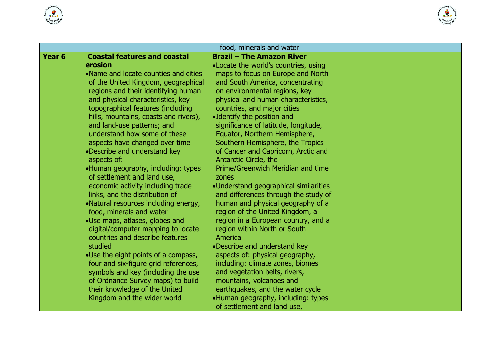



|                   |                                                                    | food, minerals and water                                          |  |
|-------------------|--------------------------------------------------------------------|-------------------------------------------------------------------|--|
| Year <sub>6</sub> | <b>Coastal features and coastal</b>                                | <b>Brazil - The Amazon River</b>                                  |  |
|                   | erosion                                                            | • Locate the world's countries, using                             |  |
|                   | •Name and locate counties and cities                               | maps to focus on Europe and North                                 |  |
|                   | of the United Kingdom, geographical                                | and South America, concentrating                                  |  |
|                   | regions and their identifying human                                | on environmental regions, key                                     |  |
|                   | and physical characteristics, key                                  | physical and human characteristics,                               |  |
|                   | topographical features (including                                  | countries, and major cities                                       |  |
|                   | hills, mountains, coasts and rivers),                              | •Identify the position and                                        |  |
|                   | and land-use patterns; and                                         | significance of latitude, longitude,                              |  |
|                   | understand how some of these                                       | Equator, Northern Hemisphere,                                     |  |
|                   | aspects have changed over time                                     | Southern Hemisphere, the Tropics                                  |  |
|                   | •Describe and understand key                                       | of Cancer and Capricorn, Arctic and                               |  |
|                   | aspects of:                                                        | Antarctic Circle, the                                             |  |
|                   | •Human geography, including: types                                 | Prime/Greenwich Meridian and time                                 |  |
|                   | of settlement and land use,                                        | zones                                                             |  |
|                   | economic activity including trade                                  | •Understand geographical similarities                             |  |
|                   | links, and the distribution of                                     | and differences through the study of                              |  |
|                   | •Natural resources including energy,                               | human and physical geography of a                                 |  |
|                   | food, minerals and water                                           | region of the United Kingdom, a                                   |  |
|                   | •Use maps, atlases, globes and                                     | region in a European country, and a                               |  |
|                   | digital/computer mapping to locate                                 | region within North or South                                      |  |
|                   | countries and describe features                                    | America                                                           |  |
|                   | studied                                                            | •Describe and understand key                                      |  |
|                   | .Use the eight points of a compass,                                | aspects of: physical geography,                                   |  |
|                   | four and six-figure grid references,                               | including: climate zones, biomes                                  |  |
|                   | symbols and key (including the use                                 | and vegetation belts, rivers,                                     |  |
|                   | of Ordnance Survey maps) to build<br>their knowledge of the United | mountains, volcanoes and<br>earthquakes, and the water cycle      |  |
|                   | Kingdom and the wider world                                        |                                                                   |  |
|                   |                                                                    | •Human geography, including: types<br>of settlement and land use, |  |
|                   |                                                                    |                                                                   |  |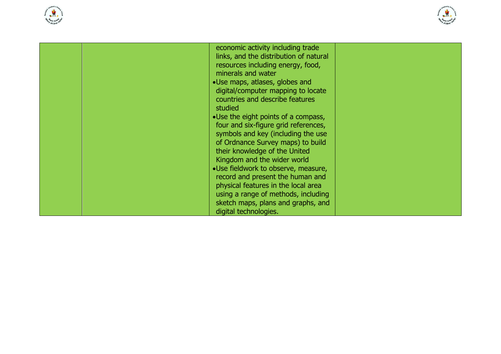



| economic activity including trade<br>links, and the distribution of natural |  |
|-----------------------------------------------------------------------------|--|
| resources including energy, food,<br>minerals and water                     |  |
| •Use maps, atlases, globes and                                              |  |
| digital/computer mapping to locate<br>countries and describe features       |  |
| studied                                                                     |  |
| •Use the eight points of a compass,                                         |  |
| four and six-figure grid references,<br>symbols and key (including the use  |  |
| of Ordnance Survey maps) to build                                           |  |
| their knowledge of the United                                               |  |
| Kingdom and the wider world<br>•Use fieldwork to observe, measure,          |  |
| record and present the human and                                            |  |
| physical features in the local area                                         |  |
| using a range of methods, including<br>sketch maps, plans and graphs, and   |  |
| digital technologies.                                                       |  |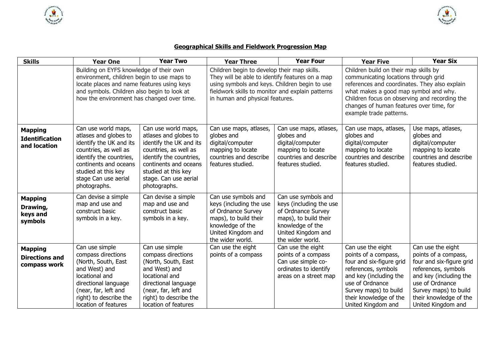



## **Geographical Skills and Fieldwork Progression Map**

| <b>Skills</b>                                           | <b>Year One</b>                                                                                                                                                                                                                  | <b>Year Two</b>                                                                                                                                                                                                      | <b>Year Three</b>                                                                                                                                                                                                                      | <b>Year Four</b>                                                                                                                                            | <b>Year Five</b>                                                                                                                                                                                                                                                                                | <b>Year Six</b>                                                                                                                                                                                                    |
|---------------------------------------------------------|----------------------------------------------------------------------------------------------------------------------------------------------------------------------------------------------------------------------------------|----------------------------------------------------------------------------------------------------------------------------------------------------------------------------------------------------------------------|----------------------------------------------------------------------------------------------------------------------------------------------------------------------------------------------------------------------------------------|-------------------------------------------------------------------------------------------------------------------------------------------------------------|-------------------------------------------------------------------------------------------------------------------------------------------------------------------------------------------------------------------------------------------------------------------------------------------------|--------------------------------------------------------------------------------------------------------------------------------------------------------------------------------------------------------------------|
|                                                         | Building on EYFS knowledge of their own<br>environment, children begin to use maps to<br>locate places and name features using keys<br>and symbols. Children also begin to look at<br>how the environment has changed over time. |                                                                                                                                                                                                                      | Children begin to develop their map skills.<br>They will be able to identify features on a map<br>using symbols and keys. Children begin to use<br>fieldwork skills to monitor and explain patterns<br>in human and physical features. |                                                                                                                                                             | Children build on their map skills by<br>communicating locations through grid<br>references and coordinates. They also explain<br>what makes a good map symbol and why.<br>Children focus on observing and recording the<br>changes of human features over time, for<br>example trade patterns. |                                                                                                                                                                                                                    |
| <b>Mapping</b><br><b>Identification</b><br>and location | Can use world maps,<br>atlases and globes to<br>identify the UK and its<br>countries, as well as<br>identify the countries,<br>continents and oceans<br>studied at this key<br>stage Can use aerial<br>photographs.              | Can use world maps,<br>atlases and globes to<br>identify the UK and its<br>countries, as well as<br>identify the countries,<br>continents and oceans<br>studied at this key<br>stage. Can use aerial<br>photographs. | Can use maps, atlases,<br>globes and<br>digital/computer<br>mapping to locate<br>countries and describe<br>features studied.                                                                                                           | Can use maps, atlases,<br>globes and<br>digital/computer<br>mapping to locate<br>countries and describe<br>features studied.                                | Can use maps, atlases,<br>globes and<br>digital/computer<br>mapping to locate<br>countries and describe<br>features studied.                                                                                                                                                                    | Use maps, atlases,<br>globes and<br>digital/computer<br>mapping to locate<br>countries and describe<br>features studied.                                                                                           |
| <b>Mapping</b><br>Drawing,<br>keys and<br>symbols       | Can devise a simple<br>map and use and<br>construct basic<br>symbols in a key.                                                                                                                                                   | Can devise a simple<br>map and use and<br>construct basic<br>symbols in a key.                                                                                                                                       | Can use symbols and<br>keys (including the use<br>of Ordnance Survey<br>maps), to build their<br>knowledge of the<br>United Kingdom and<br>the wider world.                                                                            | Can use symbols and<br>keys (including the use<br>of Ordnance Survey<br>maps), to build their<br>knowledge of the<br>United Kingdom and<br>the wider world. |                                                                                                                                                                                                                                                                                                 |                                                                                                                                                                                                                    |
| <b>Mapping</b><br><b>Directions and</b><br>compass work | Can use simple<br>compass directions<br>(North, South, East<br>and West) and<br>locational and<br>directional language<br>(near, far, left and<br>right) to describe the<br>location of features                                 | Can use simple<br>compass directions<br>(North, South, East<br>and West) and<br>locational and<br>directional language<br>(near, far, left and<br>right) to describe the<br>location of features                     | Can use the eight<br>points of a compass                                                                                                                                                                                               | Can use the eight<br>points of a compass<br>Can use simple co-<br>ordinates to identify<br>areas on a street map                                            | Can use the eight<br>points of a compass,<br>four and six-figure grid<br>references, symbols<br>and key (including the<br>use of Ordnance<br>Survey maps) to build<br>their knowledge of the<br>United Kingdom and                                                                              | Can use the eight<br>points of a compass,<br>four and six-figure grid<br>references, symbols<br>and key (including the<br>use of Ordnance<br>Survey maps) to build<br>their knowledge of the<br>United Kingdom and |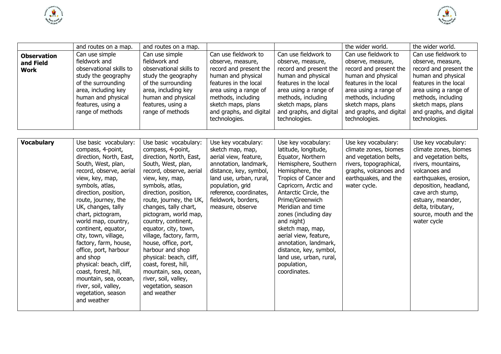



|                                                | and routes on a map.                                                                                                                                                                                                                                                                                                                                                                                                                                                                                                                | and routes on a map.                                                                                                                                                                                                                                                                                                                                                                                                                                                                                                             |                                                                                                                                                                                                                                          |                                                                                                                                                                                                                                                                                                                                                                                                                                | the wider world.                                                                                                                                                                                                                    | the wider world.                                                                                                                                                                                                                                                     |
|------------------------------------------------|-------------------------------------------------------------------------------------------------------------------------------------------------------------------------------------------------------------------------------------------------------------------------------------------------------------------------------------------------------------------------------------------------------------------------------------------------------------------------------------------------------------------------------------|----------------------------------------------------------------------------------------------------------------------------------------------------------------------------------------------------------------------------------------------------------------------------------------------------------------------------------------------------------------------------------------------------------------------------------------------------------------------------------------------------------------------------------|------------------------------------------------------------------------------------------------------------------------------------------------------------------------------------------------------------------------------------------|--------------------------------------------------------------------------------------------------------------------------------------------------------------------------------------------------------------------------------------------------------------------------------------------------------------------------------------------------------------------------------------------------------------------------------|-------------------------------------------------------------------------------------------------------------------------------------------------------------------------------------------------------------------------------------|----------------------------------------------------------------------------------------------------------------------------------------------------------------------------------------------------------------------------------------------------------------------|
| <b>Observation</b><br>and Field<br><b>Work</b> | Can use simple<br>fieldwork and<br>observational skills to<br>study the geography<br>of the surrounding<br>area, including key<br>human and physical<br>features, using a<br>range of methods                                                                                                                                                                                                                                                                                                                                       | Can use simple<br>fieldwork and<br>observational skills to<br>study the geography<br>of the surrounding<br>area, including key<br>human and physical<br>features, using a<br>range of methods                                                                                                                                                                                                                                                                                                                                    | Can use fieldwork to<br>observe, measure,<br>record and present the<br>human and physical<br>features in the local<br>area using a range of<br>methods, including<br>sketch maps, plans<br>and graphs, and digital<br>technologies.      | Can use fieldwork to<br>observe, measure,<br>record and present the<br>human and physical<br>features in the local<br>area using a range of<br>methods, including<br>sketch maps, plans<br>and graphs, and digital<br>technologies.                                                                                                                                                                                            | Can use fieldwork to<br>observe, measure,<br>record and present the<br>human and physical<br>features in the local<br>area using a range of<br>methods, including<br>sketch maps, plans<br>and graphs, and digital<br>technologies. | Can use fieldwork to<br>observe, measure,<br>record and present the<br>human and physical<br>features in the local<br>area using a range of<br>methods, including<br>sketch maps, plans<br>and graphs, and digital<br>technologies.                                  |
| <b>Vocabulary</b>                              | Use basic vocabulary:<br>compass, 4-point,<br>direction, North, East,<br>South, West, plan,<br>record, observe, aerial<br>view, key, map,<br>symbols, atlas,<br>direction, position,<br>route, journey, the<br>UK, changes, tally<br>chart, pictogram,<br>world map, country,<br>continent, equator,<br>city, town, village,<br>factory, farm, house,<br>office, port, harbour<br>and shop<br>physical: beach, cliff,<br>coast, forest, hill,<br>mountain, sea, ocean,<br>river, soil, valley,<br>vegetation, season<br>and weather | Use basic vocabulary:<br>compass, 4-point,<br>direction, North, East,<br>South, West, plan,<br>record, observe, aerial<br>view, key, map,<br>symbols, atlas,<br>direction, position,<br>route, journey, the UK,<br>changes, tally chart,<br>pictogram, world map,<br>country, continent,<br>equator, city, town,<br>village, factory, farm,<br>house, office, port,<br>harbour and shop<br>physical: beach, cliff,<br>coast, forest, hill,<br>mountain, sea, ocean,<br>river, soil, valley,<br>vegetation, season<br>and weather | Use key vocabulary:<br>sketch map, map,<br>aerial view, feature,<br>annotation, landmark,<br>distance, key, symbol,<br>land use, urban, rural,<br>population, grid<br>reference, coordinates,<br>fieldwork, borders,<br>measure, observe | Use key vocabulary:<br>latitude, longitude,<br>Equator, Northern<br>Hemisphere, Southern<br>Hemisphere, the<br>Tropics of Cancer and<br>Capricorn, Arctic and<br>Antarctic Circle, the<br>Prime/Greenwich<br>Meridian and time<br>zones (including day<br>and night)<br>sketch map, map,<br>aerial view, feature,<br>annotation, landmark,<br>distance, key, symbol,<br>land use, urban, rural,<br>population,<br>coordinates. | Use key vocabulary:<br>climate zones, biomes<br>and vegetation belts,<br>rivers, topographical,<br>graphs, volcanoes and<br>earthquakes, and the<br>water cycle.                                                                    | Use key vocabulary:<br>climate zones, biomes<br>and vegetation belts,<br>rivers, mountains,<br>volcanoes and<br>earthquakes, erosion,<br>deposition, headland,<br>cave arch stump,<br>estuary, meander,<br>delta, tributary,<br>source, mouth and the<br>water cycle |